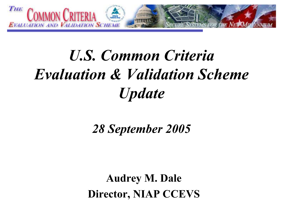

# U.S. Common Criteria Evaluation & Validation Scheme **Update**

28 September 2005

Audrey M. Dale Director, NIAP CCEVS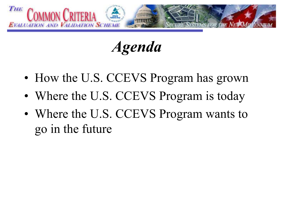

Agenda

- How the U.S. CCEVS Program has grown
- Where the U.S. CCEVS Program is today
- Where the U.S. CCEVS Program wants to go in the future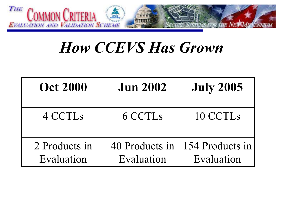

#### How CCEVS Has Grown

| <b>Oct 2000</b>             | <b>Jun 2002</b>              | <b>July 2005</b>              |
|-----------------------------|------------------------------|-------------------------------|
| 4 CCTL <sub>s</sub>         | 6 CCTL <sub>s</sub>          | 10 CCTLs                      |
| 2 Products in<br>Evaluation | 40 Products in<br>Evaluation | 154 Products in<br>Evaluation |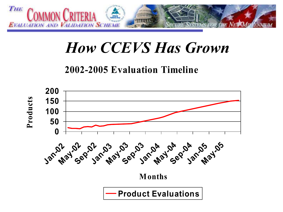

### How CCEVS Has Grown

2002-2005 Evaluation Timeline

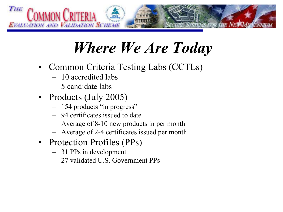

# Where We Are Today

- Common Criteria Testing Labs (CCTLs)
	- 10 accredited labs
	- 5 candidate labs
- Products (July 2005)
	- 154 products "in progress"
	- 94 certificates issued to date
	- Average of 8-10 new products in per month
	- Average of 2-4 certificates issued per month
- Protection Profiles (PPs)
	- 31 PPs in development
	- 27 validated U.S. Government PPs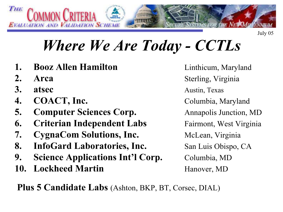

## Where We Are Today - CCTLs

- 1. Booz Allen Hamilton
- 2. Arca
- 3. atsec
- 4. **COACT, Inc.** Columbia, Maryland
- 5. **Computer Sciences Corp.** Annapolis Junction, MD
- **6.** Criterian Independent Labs Fairmont, West Virginia
- 7. **CygnaCom Solutions, Inc.** McLean, Virginia
- 8. InfoGard Laboratories, Inc. San Luis Obispo, CA
- 9. Science Applications Int'l Corp. Columbia, MD
- 10. Lockheed Martin

 Linthicum, Maryland Sterling, Virginia Austin, Texas Hanover, MD

Plus 5 Candidate Labs (Ashton, BKP, BT, Corsec, DIAL)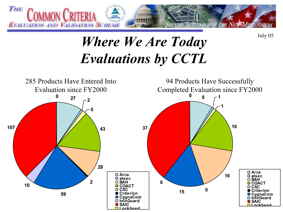

July 05

#### Where We Are Today Evaluations by CCTL

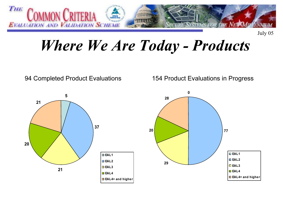

July 05

### Where We Are Today - Products

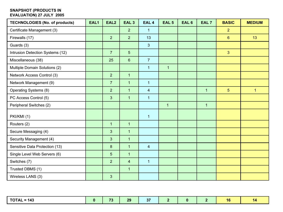#### SNAPSHOT (PRODUCTS IN EVALUATION) 27 JULY 2005

| <b>TECHNOLOGIES (No. of products)</b> | EAL1 | EAL <sub>2</sub> | EAL <sub>3</sub> | EAL <sub>4</sub>        | <b>EAL 5</b>   | EAL <sub>6</sub> | EAL <sub>7</sub> | <b>BASIC</b>   | <b>MEDIUM</b> |
|---------------------------------------|------|------------------|------------------|-------------------------|----------------|------------------|------------------|----------------|---------------|
| Certificate Management (3)            |      |                  | $\overline{2}$   | $\mathbf{1}$            |                |                  |                  | $\overline{2}$ |               |
| Firewalls (17)                        |      | 2 <sup>1</sup>   | $\overline{2}$   | 13                      |                |                  |                  | $6\phantom{1}$ | 13            |
| Guards (3)                            |      |                  |                  | 3                       |                |                  |                  |                |               |
| Intrusion Detection Systems (12)      |      | $\overline{7}$   | 5                |                         |                |                  |                  | $\overline{3}$ |               |
| Miscellaneous (38)                    |      | 25               | $\boldsymbol{6}$ | $\overline{7}$          |                |                  |                  |                |               |
| Multiple Domain Solutions (2)         |      |                  |                  | $\mathbf{1}$            | $\mathbf{1}$   |                  |                  |                |               |
| Network Access Control (3)            |      | 2                | $\mathbf{1}$     |                         |                |                  |                  |                |               |
| Network Management (9)                |      | $\overline{7}$   | $\mathbf{1}$     | $\mathbf{1}$            |                |                  |                  |                |               |
| Operating Systems (8)                 |      | $\overline{2}$   | $\mathbf{1}$     | $\overline{\mathbf{4}}$ |                |                  | $\mathbf{1}$     | $5\phantom{.}$ | $\mathbf{1}$  |
| PC Access Control (5)                 |      | $\overline{3}$   | $\mathbf{1}$     | $\overline{1}$          |                |                  |                  |                |               |
| Peripheral Switches (2)               |      |                  |                  |                         | $\overline{1}$ |                  | $\mathbf{1}$     |                |               |
| PKI/KMI (1)                           |      |                  |                  | $\mathbf{1}$            |                |                  |                  |                |               |
| Routers (2)                           |      | $\mathbf{1}$     | $\mathbf{1}$     |                         |                |                  |                  |                |               |
| Secure Messaging (4)                  |      | $\overline{3}$   | $\mathbf{1}$     |                         |                |                  |                  |                |               |
| Security Management (4)               |      | $\overline{3}$   | $\mathbf{1}$     |                         |                |                  |                  |                |               |
| Sensitive Data Protection (13)        |      | $\boldsymbol{8}$ | $\mathbf{1}$     | $\overline{4}$          |                |                  |                  |                |               |
| Single Level Web Servers (6)          |      | 5                | $\mathbf{1}$     |                         |                |                  |                  |                |               |
| Switches (7)                          |      | $\overline{2}$   | $\overline{4}$   | $\mathbf{1}$            |                |                  |                  |                |               |
| Trusted DBMS (1)                      |      |                  | $\mathbf{1}$     |                         |                |                  |                  |                |               |
| Wireless LANS (3)                     |      | $\overline{3}$   |                  |                         |                |                  |                  |                |               |

| ΠΟΤΛΙ<br>$= 143$ | $-10$<br>I J | 20 <sub>o</sub><br>w | $\sim$<br>. |  |  | <b>PEAK</b> |
|------------------|--------------|----------------------|-------------|--|--|-------------|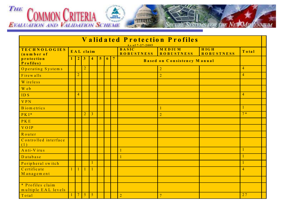

| Validated Protection Profiles           |           |                |                |                         |   |   |                |                                                      |                             |                                  |                |  |
|-----------------------------------------|-----------|----------------|----------------|-------------------------|---|---|----------------|------------------------------------------------------|-----------------------------|----------------------------------|----------------|--|
| <b>TECHNOLOGIES</b><br>(number of       | EAL claim |                |                |                         |   |   |                | As of 7-27-2005<br><b>BASIC</b><br><b>ROBUSTNESS</b> | MEDIUM<br><b>ROBUSTNESS</b> | <b>HIGH</b><br><b>ROBUSTNESS</b> | Total          |  |
| protection<br>Profiles)                 |           | $\overline{2}$ | 3              | $\overline{\mathbf{4}}$ | 5 | 6 | $\overline{7}$ | Based on Consistency Manual                          |                             |                                  |                |  |
| Operating Systems                       |           |                | $\overline{2}$ |                         |   |   |                |                                                      | $\overline{2}$              |                                  | $\overline{4}$ |  |
| Firewalls                               |           | $\overline{2}$ |                |                         |   |   |                |                                                      | $\overline{2}$              |                                  | $\overline{4}$ |  |
| W ireless                               |           |                |                |                         |   |   |                |                                                      |                             |                                  |                |  |
| W e b                                   |           |                |                |                         |   |   |                |                                                      |                             |                                  |                |  |
| ID <sub>S</sub>                         |           | $\overline{4}$ |                |                         |   |   |                |                                                      |                             |                                  | $\overline{4}$ |  |
| <b>VPN</b>                              |           |                |                |                         |   |   |                |                                                      |                             |                                  |                |  |
| B iom etrics                            |           |                |                |                         |   |   |                |                                                      |                             |                                  | $\mathbf{1}$   |  |
| $PKI*$                                  |           |                | $\overline{2}$ | $\overline{3}$          |   |   |                |                                                      | $\overline{2}$              |                                  | $7*$           |  |
| PKE                                     |           |                |                |                         |   |   |                |                                                      |                             |                                  |                |  |
| <b>VOIP</b>                             |           |                |                |                         |   |   |                |                                                      |                             |                                  |                |  |
| Router                                  |           |                |                |                         |   |   |                |                                                      |                             |                                  |                |  |
| Controlled interface<br>(1)             |           |                |                |                         |   |   |                |                                                      |                             |                                  |                |  |
| Anti-Virus                              |           |                |                |                         |   |   |                | $\mathbf{1}$                                         |                             |                                  |                |  |
| Database                                |           |                |                |                         |   |   |                |                                                      |                             |                                  |                |  |
| Peripheral switch                       |           |                |                | $\mathbf{1}$            |   |   |                |                                                      |                             |                                  |                |  |
| Certificate<br>Management               |           | $\mathbf{1}$   | $\mathbf{1}$   | $\mathbf{1}$            |   |   |                |                                                      |                             |                                  | $\overline{4}$ |  |
|                                         |           |                |                |                         |   |   |                |                                                      |                             |                                  |                |  |
| * Profiles claim<br>multiple EAL levels |           |                |                |                         |   |   |                |                                                      |                             |                                  |                |  |
| Total                                   |           | $\tau$         | 5              | 5                       |   |   |                | $\overline{2}$                                       | $\overline{7}$              |                                  | 27             |  |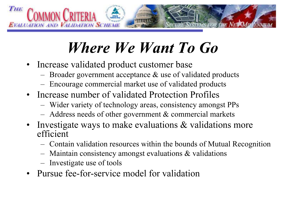

# Where We Want To Go

- Increase validated product customer base
	- Broader government acceptance & use of validated products
	- Encourage commercial market use of validated products
- Increase number of validated Protection Profiles
	- –Wider variety of technology areas, consistency amongst PPs
	- –Address needs of other government & commercial markets
- Investigate ways to make evaluations & validations more efficient
	- –Contain validation resources within the bounds of Mutual Recognition
	- –Maintain consistency amongst evaluations & validations
	- –Investigate use of tools
- •Pursue fee-for-service model for validation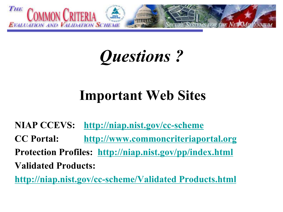

# Questions ?

## Important Web Sites

NIAP CCEVS: http://niap.nist.gov/cc-scheme CC Portal: http://www.commoncriteriaportal.org Protection Profiles: http://niap.nist.gov/pp/index.html Validated Products:

http://niap.nist.gov/cc-scheme/Validated Products.html